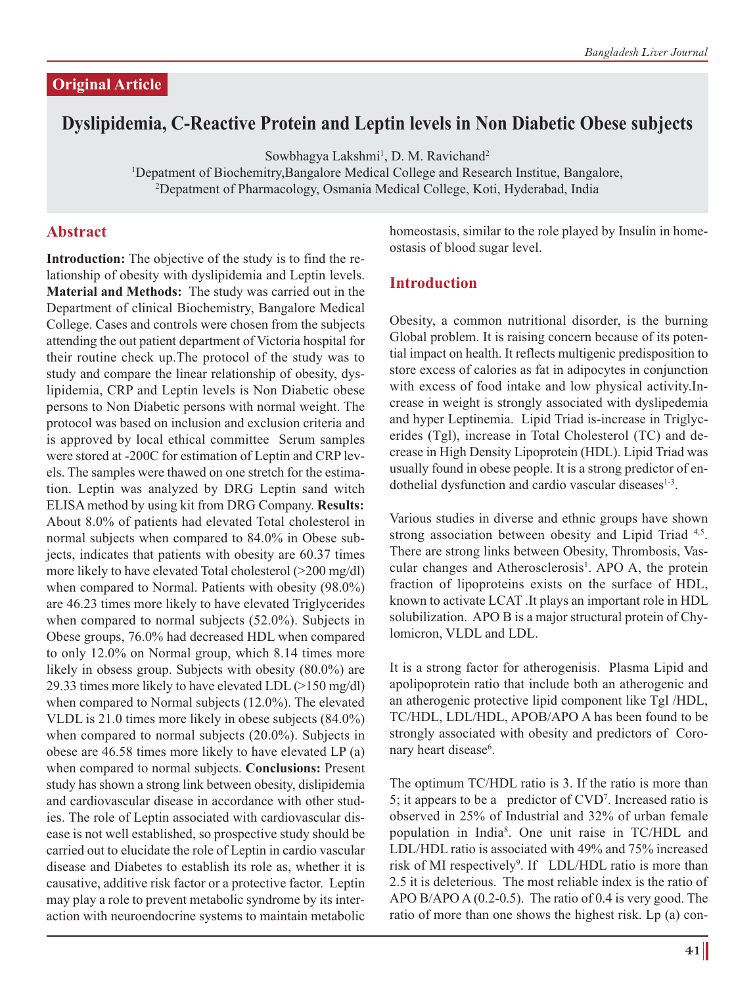### **Original Article**

# **Dyslipidemia, C-Reactive Protein and Leptin levels in Non Diabetic Obese subjects**

Sowbhagya Lakshmi<sup>1</sup>, D. M. Ravichand<sup>2</sup>

<sup>1</sup>Depatment of Biochemitry,Bangalore Medical College and Research Institue, Bangalore,<br><sup>2</sup>Depatment of Pharmacology Osmania Medical College, Koti, Hyderabad, India Depatment of Pharmacology, Osmania Medical College, Koti, Hyderabad, India

#### **Abstract**

**Introduction:** The objective of the study is to find the relationship of obesity with dyslipidemia and Leptin levels. **Material and Methods:** The study was carried out in the Department of clinical Biochemistry, Bangalore Medical College. Cases and controls were chosen from the subjects attending the out patient department of Victoria hospital for their routine check up.The protocol of the study was to study and compare the linear relationship of obesity, dyslipidemia, CRP and Leptin levels is Non Diabetic obese persons to Non Diabetic persons with normal weight. The protocol was based on inclusion and exclusion criteria and is approved by local ethical committee Serum samples were stored at -200C for estimation of Leptin and CRP levels. The samples were thawed on one stretch for the estimation. Leptin was analyzed by DRG Leptin sand witch ELISA method by using kit from DRG Company. **Results:** About 8.0% of patients had elevated Total cholesterol in normal subjects when compared to 84.0% in Obese subjects, indicates that patients with obesity are 60.37 times more likely to have elevated Total cholesterol (>200 mg/dl) when compared to Normal. Patients with obesity (98.0%) are 46.23 times more likely to have elevated Triglycerides when compared to normal subjects (52.0%). Subjects in Obese groups, 76.0% had decreased HDL when compared to only 12.0% on Normal group, which 8.14 times more likely in obsess group. Subjects with obesity (80.0%) are 29.33 times more likely to have elevated LDL (>150 mg/dl) when compared to Normal subjects (12.0%). The elevated VLDL is 21.0 times more likely in obese subjects (84.0%) when compared to normal subjects (20.0%). Subjects in obese are 46.58 times more likely to have elevated LP (a) when compared to normal subjects. **Conclusions:** Present study has shown a strong link between obesity, dislipidemia and cardiovascular disease in accordance with other studies. The role of Leptin associated with cardiovascular disease is not well established, so prospective study should be carried out to elucidate the role of Leptin in cardio vascular disease and Diabetes to establish its role as, whether it is causative, additive risk factor or a protective factor. Leptin may play a role to prevent metabolic syndrome by its interaction with neuroendocrine systems to maintain metabolic homeostasis, similar to the role played by Insulin in homeostasis of blood sugar level.

#### **Introduction**

Obesity, a common nutritional disorder, is the burning Global problem. It is raising concern because of its potential impact on health. It reflects multigenic predisposition to store excess of calories as fat in adipocytes in conjunction with excess of food intake and low physical activity.Increase in weight is strongly associated with dyslipedemia and hyper Leptinemia. Lipid Triad is-increase in Triglycerides (Tgl), increase in Total Cholesterol (TC) and decrease in High Density Lipoprotein (HDL). Lipid Triad was usually found in obese people. It is a strong predictor of endothelial dysfunction and cardio vascular diseases $1-3$ .

Various studies in diverse and ethnic groups have shown strong association between obesity and Lipid Triad 4,5. There are strong links between Obesity, Thrombosis, Vascular changes and Atherosclerosis<sup>1</sup>. APO A, the protein fraction of lipoproteins exists on the surface of HDL, known to activate LCAT .It plays an important role in HDL solubilization. APO B is a major structural protein of Chylomicron, VLDL and LDL.

It is a strong factor for atherogenisis. Plasma Lipid and apolipoprotein ratio that include both an atherogenic and an atherogenic protective lipid component like Tgl /HDL, TC/HDL, LDL/HDL, APOB/APO A has been found to be strongly associated with obesity and predictors of Coronary heart disease<sup>6</sup>.

The optimum TC/HDL ratio is 3. If the ratio is more than 5; it appears to be a predictor of CVD7 . Increased ratio is observed in 25% of Industrial and 32% of urban female population in India8 . One unit raise in TC/HDL and LDL/HDL ratio is associated with 49% and 75% increased risk of MI respectively<sup>9</sup>. If LDL/HDL ratio is more than 2.5 it is deleterious. The most reliable index is the ratio of APO B/APO A  $(0.2-0.5)$ . The ratio of 0.4 is very good. The ratio of more than one shows the highest risk. Lp (a) con-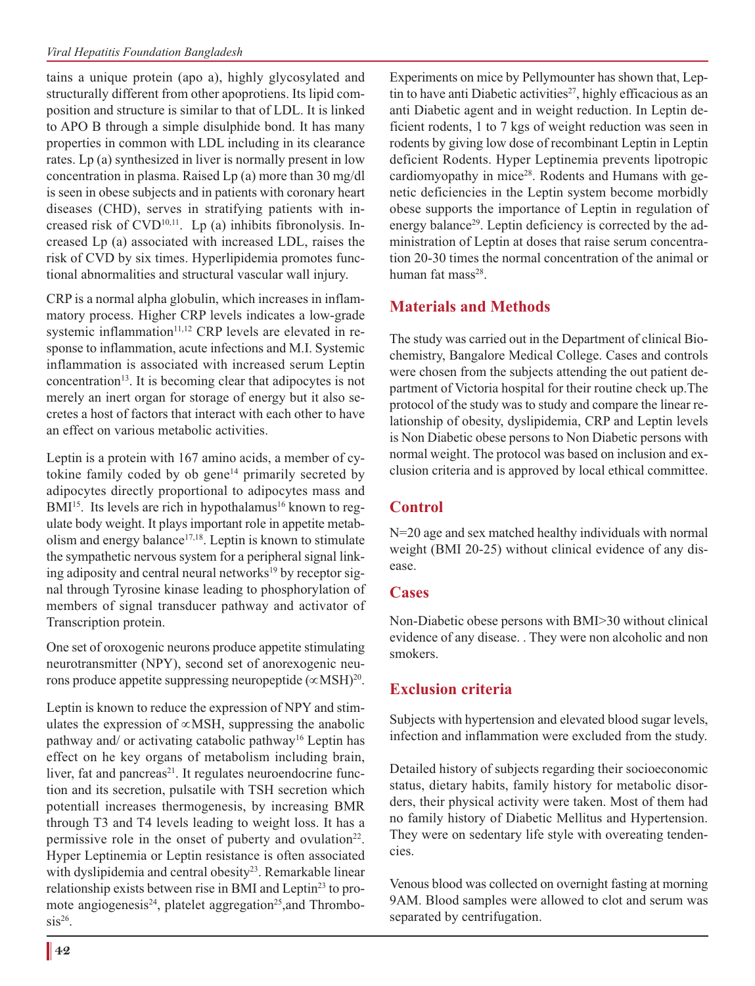tains a unique protein (apo a), highly glycosylated and structurally different from other apoprotiens. Its lipid composition and structure is similar to that of LDL. It is linked to APO B through a simple disulphide bond. It has many properties in common with LDL including in its clearance rates. Lp (a) synthesized in liver is normally present in low concentration in plasma. Raised Lp (a) more than 30 mg/dl is seen in obese subjects and in patients with coronary heart diseases (CHD), serves in stratifying patients with increased risk of  $CVD^{10,11}$ . Lp (a) inhibits fibronolysis. Increased Lp (a) associated with increased LDL, raises the risk of CVD by six times. Hyperlipidemia promotes functional abnormalities and structural vascular wall injury.

CRP is a normal alpha globulin, which increases in inflammatory process. Higher CRP levels indicates a low-grade systemic inflammation<sup>11,12</sup> CRP levels are elevated in response to inflammation, acute infections and M.I. Systemic inflammation is associated with increased serum Leptin concentration<sup>13</sup>. It is becoming clear that adipocytes is not merely an inert organ for storage of energy but it also secretes a host of factors that interact with each other to have an effect on various metabolic activities.

Leptin is a protein with 167 amino acids, a member of cytokine family coded by ob gene<sup>14</sup> primarily secreted by adipocytes directly proportional to adipocytes mass and BMI<sup>15</sup>. Its levels are rich in hypothalamus<sup>16</sup> known to regulate body weight. It plays important role in appetite metabolism and energy balance $17,18$ . Leptin is known to stimulate the sympathetic nervous system for a peripheral signal linking adiposity and central neural networks<sup>19</sup> by receptor signal through Tyrosine kinase leading to phosphorylation of members of signal transducer pathway and activator of Transcription protein.

One set of oroxogenic neurons produce appetite stimulating neurotransmitter (NPY), second set of anorexogenic neurons produce appetite suppressing neuropeptide (∝MSH)20.

Leptin is known to reduce the expression of NPY and stimulates the expression of ∝MSH, suppressing the anabolic pathway and/ or activating catabolic pathway16 Leptin has effect on he key organs of metabolism including brain, liver, fat and pancreas<sup>21</sup>. It regulates neuroendocrine function and its secretion, pulsatile with TSH secretion which potentiall increases thermogenesis, by increasing BMR through T3 and T4 levels leading to weight loss. It has a permissive role in the onset of puberty and ovulation<sup>22</sup>. Hyper Leptinemia or Leptin resistance is often associated with dyslipidemia and central obesity<sup>23</sup>. Remarkable linear relationship exists between rise in BMI and Leptin<sup>23</sup> to promote angiogenesis<sup>24</sup>, platelet aggregation<sup>25</sup>, and Thrombo $sis^{26}$ .

Experiments on mice by Pellymounter has shown that, Leptin to have anti Diabetic activities<sup>27</sup>, highly efficacious as an anti Diabetic agent and in weight reduction. In Leptin deficient rodents, 1 to 7 kgs of weight reduction was seen in rodents by giving low dose of recombinant Leptin in Leptin deficient Rodents. Hyper Leptinemia prevents lipotropic cardiomyopathy in mice<sup>28</sup>. Rodents and Humans with genetic deficiencies in the Leptin system become morbidly obese supports the importance of Leptin in regulation of energy balance<sup>29</sup>. Leptin deficiency is corrected by the administration of Leptin at doses that raise serum concentration 20-30 times the normal concentration of the animal or human fat mass $28$ 

### **Materials and Methods**

The study was carried out in the Department of clinical Biochemistry, Bangalore Medical College. Cases and controls were chosen from the subjects attending the out patient department of Victoria hospital for their routine check up.The protocol of the study was to study and compare the linear relationship of obesity, dyslipidemia, CRP and Leptin levels is Non Diabetic obese persons to Non Diabetic persons with normal weight. The protocol was based on inclusion and exclusion criteria and is approved by local ethical committee.

## **Control**

N=20 age and sex matched healthy individuals with normal weight (BMI 20-25) without clinical evidence of any disease.

#### **Cases**

Non-Diabetic obese persons with BMI>30 without clinical evidence of any disease. . They were non alcoholic and non smokers.

## **Exclusion criteria**

Subjects with hypertension and elevated blood sugar levels, infection and inflammation were excluded from the study.

Detailed history of subjects regarding their socioeconomic status, dietary habits, family history for metabolic disorders, their physical activity were taken. Most of them had no family history of Diabetic Mellitus and Hypertension. They were on sedentary life style with overeating tendencies.

Venous blood was collected on overnight fasting at morning 9AM. Blood samples were allowed to clot and serum was separated by centrifugation.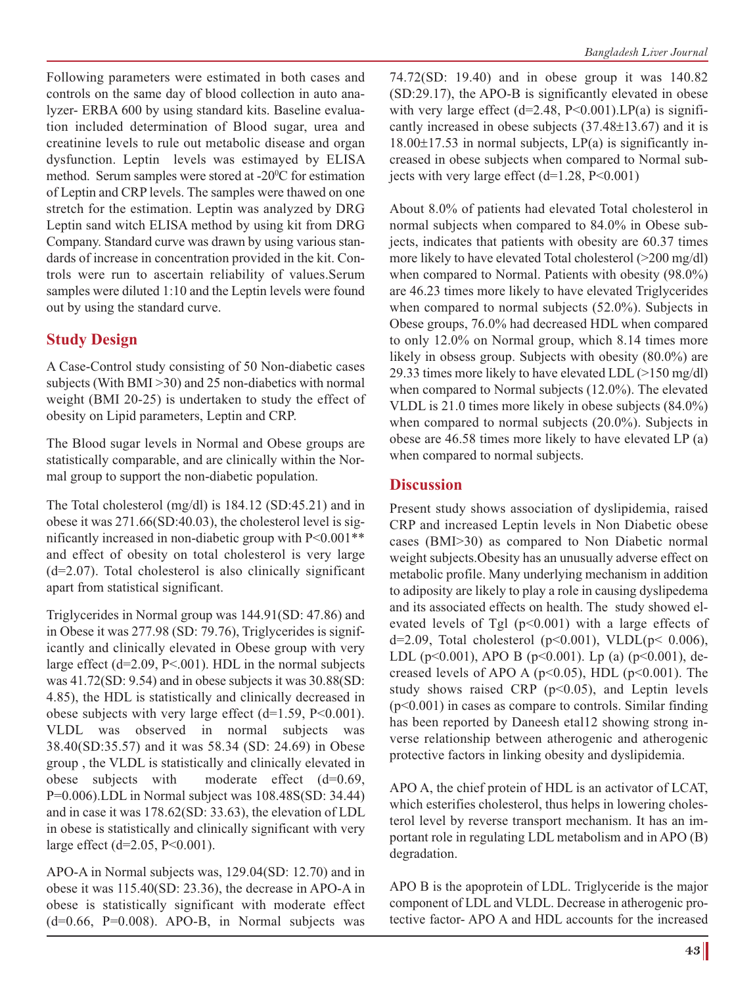Following parameters were estimated in both cases and controls on the same day of blood collection in auto analyzer- ERBA 600 by using standard kits. Baseline evaluation included determination of Blood sugar, urea and creatinine levels to rule out metabolic disease and organ dysfunction. Leptin levels was estimayed by ELISA method. Serum samples were stored at  $-20^{\circ}$ C for estimation of Leptin and CRP levels. The samples were thawed on one stretch for the estimation. Leptin was analyzed by DRG Leptin sand witch ELISA method by using kit from DRG Company. Standard curve was drawn by using various standards of increase in concentration provided in the kit. Controls were run to ascertain reliability of values.Serum samples were diluted 1:10 and the Leptin levels were found out by using the standard curve.

### **Study Design**

A Case-Control study consisting of 50 Non-diabetic cases subjects (With BMI >30) and 25 non-diabetics with normal weight (BMI 20-25) is undertaken to study the effect of obesity on Lipid parameters, Leptin and CRP.

The Blood sugar levels in Normal and Obese groups are statistically comparable, and are clinically within the Normal group to support the non-diabetic population.

The Total cholesterol (mg/dl) is 184.12 (SD:45.21) and in obese it was 271.66(SD:40.03), the cholesterol level is significantly increased in non-diabetic group with P<0.001\*\* and effect of obesity on total cholesterol is very large  $(d=2.07)$ . Total cholesterol is also clinically significant apart from statistical significant.

Triglycerides in Normal group was 144.91(SD: 47.86) and in Obese it was 277.98 (SD: 79.76), Triglycerides is significantly and clinically elevated in Obese group with very large effect  $(d=2.09, P<.001)$ . HDL in the normal subjects was 41.72(SD: 9.54) and in obese subjects it was 30.88(SD: 4.85), the HDL is statistically and clinically decreased in obese subjects with very large effect  $(d=1.59, P<0.001)$ . VLDL was observed in normal subjects was 38.40(SD:35.57) and it was 58.34 (SD: 24.69) in Obese group , the VLDL is statistically and clinically elevated in obese subjects with moderate effect (d=0.69, P=0.006).LDL in Normal subject was 108.48S(SD: 34.44) and in case it was 178.62(SD: 33.63), the elevation of LDL in obese is statistically and clinically significant with very large effect (d=2.05, P<0.001).

APO-A in Normal subjects was, 129.04(SD: 12.70) and in obese it was 115.40(SD: 23.36), the decrease in APO-A in obese is statistically significant with moderate effect  $(d=0.66, P=0.008)$ . APO-B, in Normal subjects was

74.72(SD: 19.40) and in obese group it was 140.82 (SD:29.17), the APO-B is significantly elevated in obese with very large effect  $(d=2.48, P<0.001)$ . LP(a) is significantly increased in obese subjects (37.48±13.67) and it is  $18.00\pm17.53$  in normal subjects, LP(a) is significantly increased in obese subjects when compared to Normal subjects with very large effect  $(d=1.28, P<0.001)$ 

About 8.0% of patients had elevated Total cholesterol in normal subjects when compared to 84.0% in Obese subjects, indicates that patients with obesity are 60.37 times more likely to have elevated Total cholesterol (>200 mg/dl) when compared to Normal. Patients with obesity (98.0%) are 46.23 times more likely to have elevated Triglycerides when compared to normal subjects (52.0%). Subjects in Obese groups, 76.0% had decreased HDL when compared to only 12.0% on Normal group, which 8.14 times more likely in obsess group. Subjects with obesity  $(80.0\%)$  are 29.33 times more likely to have elevated LDL (>150 mg/dl) when compared to Normal subjects (12.0%). The elevated VLDL is 21.0 times more likely in obese subjects (84.0%) when compared to normal subjects (20.0%). Subjects in obese are 46.58 times more likely to have elevated LP (a) when compared to normal subjects.

### **Discussion**

Present study shows association of dyslipidemia, raised CRP and increased Leptin levels in Non Diabetic obese cases (BMI>30) as compared to Non Diabetic normal weight subjects.Obesity has an unusually adverse effect on metabolic profile. Many underlying mechanism in addition to adiposity are likely to play a role in causing dyslipedema and its associated effects on health. The study showed elevated levels of Tgl  $(p<0.001)$  with a large effects of d=2.09, Total cholesterol ( $p$ <0.001), VLDL( $p$ < 0.006), LDL (p<0.001), APO B (p<0.001). Lp (a) (p<0.001), decreased levels of APO A ( $p<0.05$ ), HDL ( $p<0.001$ ). The study shows raised CRP ( $p<0.05$ ), and Leptin levels (p<0.001) in cases as compare to controls. Similar finding has been reported by Daneesh etal12 showing strong inverse relationship between atherogenic and atherogenic protective factors in linking obesity and dyslipidemia.

APO A, the chief protein of HDL is an activator of LCAT, which esterifies cholesterol, thus helps in lowering cholesterol level by reverse transport mechanism. It has an important role in regulating LDL metabolism and in APO (B) degradation.

APO B is the apoprotein of LDL. Triglyceride is the major component of LDL and VLDL. Decrease in atherogenic protective factor- APO A and HDL accounts for the increased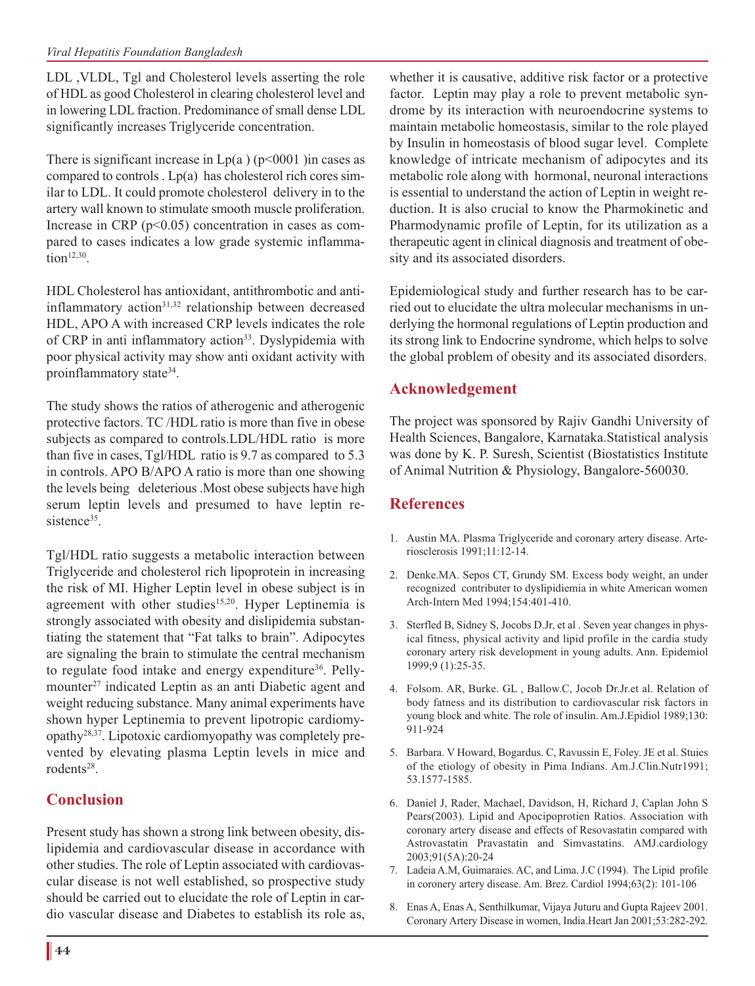#### *Viral Hepatitis Foundation Bangladesh*

LDL ,VLDL, Tgl and Cholesterol levels asserting the role of HDL as good Cholesterol in clearing cholesterol level and in lowering LDL fraction. Predominance of small dense LDL significantly increases Triglyceride concentration.

There is significant increase in  $Lp(a)$  ( $p<0001$ ) in cases as compared to controls . Lp(a) has cholesterol rich cores similar to LDL. It could promote cholesterol delivery in to the artery wall known to stimulate smooth muscle proliferation. Increase in CRP ( $p<0.05$ ) concentration in cases as compared to cases indicates a low grade systemic inflamma $tion<sup>12,30</sup>$ .

HDL Cholesterol has antioxidant, antithrombotic and antiinflammatory action<sup>31,32</sup> relationship between decreased HDL, APO A with increased CRP levels indicates the role of CRP in anti inflammatory action<sup>33</sup>. Dyslypidemia with poor physical activity may show anti oxidant activity with proinflammatory state<sup>34</sup>.

The study shows the ratios of atherogenic and atherogenic protective factors. TC /HDL ratio is more than five in obese subjects as compared to controls.LDL/HDL ratio is more than five in cases, Tgl/HDL ratio is 9.7 as compared to 5.3 in controls. APO B/APO A ratio is more than one showing the levels being deleterious .Most obese subjects have high serum leptin levels and presumed to have leptin resistence<sup>35</sup>

Tgl/HDL ratio suggests a metabolic interaction between Triglyceride and cholesterol rich lipoprotein in increasing the risk of MI. Higher Leptin level in obese subject is in agreement with other studies<sup>15,20</sup>. Hyper Leptinemia is strongly associated with obesity and dislipidemia substantiating the statement that "Fat talks to brain". Adipocytes are signaling the brain to stimulate the central mechanism to regulate food intake and energy expenditure<sup>36</sup>. Pellymounter<sup>27</sup> indicated Leptin as an anti Diabetic agent and weight reducing substance. Many animal experiments have shown hyper Leptinemia to prevent lipotropic cardiomyopathy28,37. Lipotoxic cardiomyopathy was completely prevented by elevating plasma Leptin levels in mice and rodents28.

## **Conclusion**

Present study has shown a strong link between obesity, dislipidemia and cardiovascular disease in accordance with other studies. The role of Leptin associated with cardiovascular disease is not well established, so prospective study should be carried out to elucidate the role of Leptin in cardio vascular disease and Diabetes to establish its role as, whether it is causative, additive risk factor or a protective factor. Leptin may play a role to prevent metabolic syndrome by its interaction with neuroendocrine systems to maintain metabolic homeostasis, similar to the role played by Insulin in homeostasis of blood sugar level. Complete knowledge of intricate mechanism of adipocytes and its metabolic role along with hormonal, neuronal interactions is essential to understand the action of Leptin in weight reduction. It is also crucial to know the Pharmokinetic and Pharmodynamic profile of Leptin, for its utilization as a therapeutic agent in clinical diagnosis and treatment of obesity and its associated disorders.

Epidemiological study and further research has to be carried out to elucidate the ultra molecular mechanisms in underlying the hormonal regulations of Leptin production and its strong link to Endocrine syndrome, which helps to solve the global problem of obesity and its associated disorders.

### **Acknowledgement**

The project was sponsored by Rajiv Gandhi University of Health Sciences, Bangalore, Karnataka.Statistical analysis was done by K. P. Suresh, Scientist (Biostatistics Institute of Animal Nutrition & Physiology, Bangalore-560030.

## **References**

- 1. Austin MA. Plasma Triglyceride and coronary artery disease. Arteriosclerosis 1991;11:12-14.
- 2. Denke.MA. Sepos CT, Grundy SM. Excess body weight, an under recognized contributer to dyslipidiemia in white American women Arch-Intern Med 1994;154:401-410.
- 3. Sterfled B, Sidney S, Jocobs D.Jr, et al . Seven year changes in physical fitness, physical activity and lipid profile in the cardia study coronary artery risk development in young adults. Ann. Epidemiol 1999;9 (1):25-35.
- 4. Folsom. AR, Burke. GL , Ballow.C, Jocob Dr.Jr.et al. Relation of body fatness and its distribution to cardiovascular risk factors in young block and white. The role of insulin. Am.J.Epidiol 1989;130: 911-924
- 5. Barbara. V Howard, Bogardus. C, Ravussin E, Foley. JE et al. Stuies of the etiology of obesity in Pima Indians. Am.J.Clin.Nutr1991; 53.1577-1585.
- 6. Daniel J, Rader, Machael, Davidson, H, Richard J, Caplan John S Pears(2003). Lipid and Apocipoprotien Ratios. Association with coronary artery disease and effects of Resovastatin compared with Astrovastatin Pravastatin and Simvastatins. AMJ.cardiology 2003;91(5A):20-24
- 7. Ladeia A.M, Guimaraies. AC, and Lima. J.C (1994). The Lipid profile in coronery artery disease. Am. Brez. Cardiol 1994;63(2): 101-106
- 8. Enas A, Enas A, Senthilkumar, Vijaya Juturu and Gupta Rajeev 2001. Coronary Artery Disease in women, India.Heart Jan 2001;53:282-292.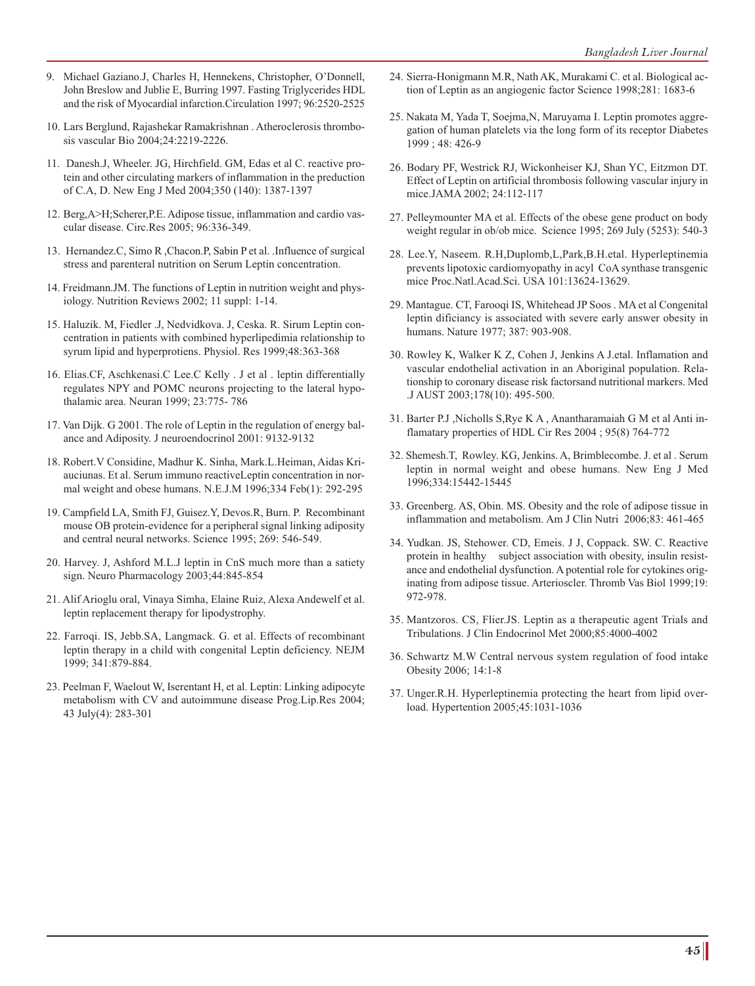- 9. Michael Gaziano.J, Charles H, Hennekens, Christopher, O'Donnell, John Breslow and Jublie E, Burring 1997. Fasting Triglycerides HDL and the risk of Myocardial infarction.Circulation 1997; 96:2520-2525
- 10. Lars Berglund, Rajashekar Ramakrishnan . Atheroclerosis thrombosis vascular Bio 2004;24:2219-2226.
- 11. Danesh.J, Wheeler. JG, Hirchfield. GM, Edas et al C. reactive protein and other circulating markers of inflammation in the preduction of C.A, D. New Eng J Med 2004;350 (140): 1387-1397
- 12. Berg,A>H;Scherer,P.E. Adipose tissue, inflammation and cardio vascular disease. Circ.Res 2005; 96:336-349.
- 13. Hernandez.C, Simo R ,Chacon.P, Sabin P et al. .Influence of surgical stress and parenteral nutrition on Serum Leptin concentration.
- 14. Freidmann.JM. The functions of Leptin in nutrition weight and physiology. Nutrition Reviews 2002; 11 suppl: 1-14.
- 15. Haluzik. M, Fiedler .J, Nedvidkova. J, Ceska. R. Sirum Leptin concentration in patients with combined hyperlipedimia relationship to syrum lipid and hyperprotiens. Physiol. Res 1999;48:363-368
- 16. Elias.CF, Aschkenasi.C Lee.C Kelly . J et al . leptin differentially regulates NPY and POMC neurons projecting to the lateral hypothalamic area. Neuran 1999; 23:775- 786
- 17. Van Dijk. G 2001. The role of Leptin in the regulation of energy balance and Adiposity. J neuroendocrinol 2001: 9132-9132
- 18. Robert.V Considine, Madhur K. Sinha, Mark.L.Heiman, Aidas Kriauciunas. Et al. Serum immuno reactiveLeptin concentration in normal weight and obese humans. N.E.J.M 1996;334 Feb(1): 292-295
- 19. Campfield LA, Smith FJ, Guisez.Y, Devos.R, Burn. P. Recombinant mouse OB protein-evidence for a peripheral signal linking adiposity and central neural networks. Science 1995; 269: 546-549.
- 20. Harvey. J, Ashford M.L.J leptin in CnS much more than a satiety sign. Neuro Pharmacology 2003;44:845-854
- 21. Alif Arioglu oral, Vinaya Simha, Elaine Ruiz, Alexa Andewelf et al. leptin replacement therapy for lipodystrophy.
- 22. Farroqi. IS, Jebb.SA, Langmack. G. et al. Effects of recombinant leptin therapy in a child with congenital Leptin deficiency. NEJM 1999; 341:879-884.
- 23. Peelman F, Waelout W, Iserentant H, et al. Leptin: Linking adipocyte metabolism with CV and autoimmune disease Prog.Lip.Res 2004; 43 July(4): 283-301
- 24. Sierra-Honigmann M.R, Nath AK, Murakami C. et al. Biological action of Leptin as an angiogenic factor Science 1998;281: 1683-6
- 25. Nakata M, Yada T, Soejma,N, Maruyama I. Leptin promotes aggregation of human platelets via the long form of its receptor Diabetes 1999 ; 48: 426-9
- 26. Bodary PF, Westrick RJ, Wickonheiser KJ, Shan YC, Eitzmon DT. Effect of Leptin on artificial thrombosis following vascular injury in mice.JAMA 2002; 24:112-117
- 27. Pelleymounter MA et al. Effects of the obese gene product on body weight regular in ob/ob mice. Science 1995; 269 July (5253): 540-3
- 28. Lee.Y, Naseem. R.H,Duplomb,L,Park,B.H.etal. Hyperleptinemia prevents lipotoxic cardiomyopathy in acyl CoA synthase transgenic mice Proc.Natl.Acad.Sci. USA 101:13624-13629.
- 29. Mantague. CT, Farooqi IS, Whitehead JP Soos . MA et al Congenital leptin dificiancy is associated with severe early answer obesity in humans. Nature 1977; 387: 903-908.
- 30. Rowley K, Walker K Z, Cohen J, Jenkins A J.etal. Inflamation and vascular endothelial activation in an Aboriginal population. Relationship to coronary disease risk factorsand nutritional markers. Med .J AUST 2003;178(10): 495-500.
- 31. Barter P.J ,Nicholls S,Rye K A , Anantharamaiah G M et al Anti inflamatary properties of HDL Cir Res 2004 ; 95(8) 764-772
- 32. Shemesh.T, Rowley. KG, Jenkins. A, Brimblecombe. J. et al . Serum leptin in normal weight and obese humans. New Eng J Med 1996;334:15442-15445
- 33. Greenberg. AS, Obin. MS. Obesity and the role of adipose tissue in inflammation and metabolism. Am J Clin Nutri 2006;83: 461-465
- 34. Yudkan. JS, Stehower. CD, Emeis. J J, Coppack. SW. C. Reactive protein in healthy subject association with obesity, insulin resistance and endothelial dysfunction. A potential role for cytokines originating from adipose tissue. Arterioscler. Thromb Vas Biol 1999;19: 972-978.
- 35. Mantzoros. CS, Flier.JS. Leptin as a therapeutic agent Trials and Tribulations. J Clin Endocrinol Met 2000;85:4000-4002
- 36. Schwartz M.W Central nervous system regulation of food intake Obesity 2006; 14:1-8
- 37. Unger.R.H. Hyperleptinemia protecting the heart from lipid overload. Hypertention 2005;45:1031-1036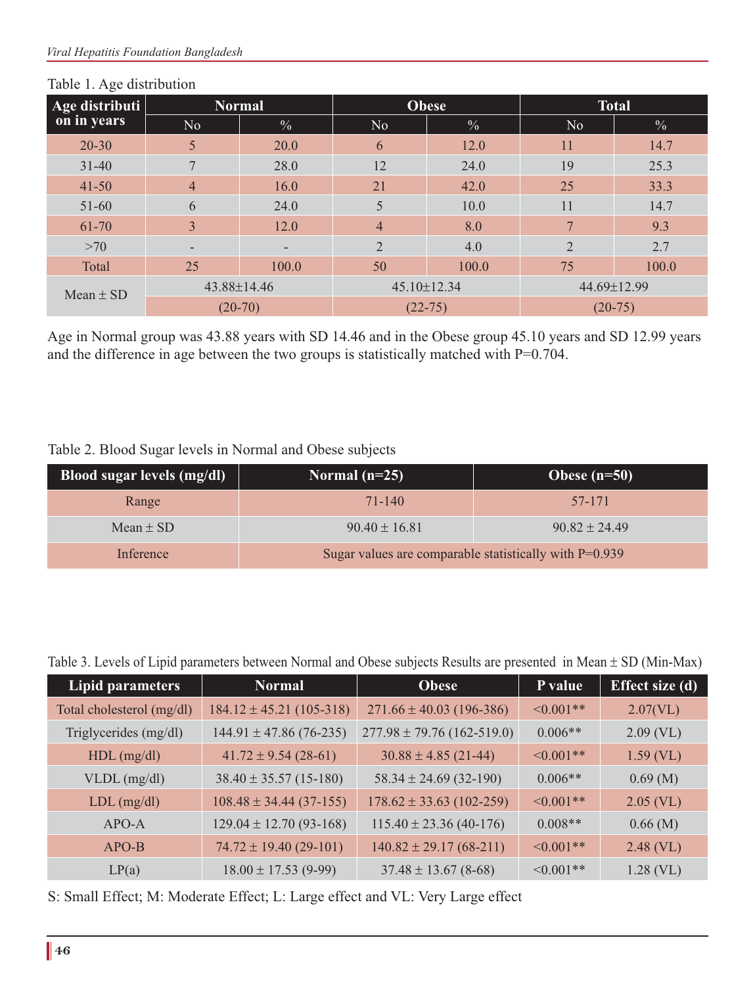| Age distributi | <b>Normal</b>            |               | <b>Obese</b>      |               | <b>Total</b>   |               |
|----------------|--------------------------|---------------|-------------------|---------------|----------------|---------------|
| on in years    | N <sub>o</sub>           | $\frac{0}{0}$ | N <sub>o</sub>    | $\frac{0}{6}$ | No             | $\frac{0}{0}$ |
| $20 - 30$      | 5                        | 20.0          | 6                 | 12.0          | 11             | 14.7          |
| $31 - 40$      | $\overline{7}$           | 28.0          | 12                | 24.0          | 19             | 25.3          |
| $41 - 50$      | $\overline{4}$           | 16.0          | 21                | 42.0          | 25             | 33.3          |
| 51-60          | 6                        | 24.0          | 5                 | 10.0          | 11             | 14.7          |
| 61-70          | 3                        | 12.0          | $\overline{4}$    | 8.0           | 7              | 9.3           |
| >70            | $\overline{\phantom{a}}$ | -             | $\overline{2}$    | 4.0           | $\overline{2}$ | 2.7           |
| Total          | 25                       | 100.0         | 50                | 100.0         | 75             | 100.0         |
| $Mean \pm SD$  | 43.88±14.46              |               | $45.10 \pm 12.34$ |               | 44.69±12.99    |               |
|                |                          | $(20-70)$     | $(22-75)$         |               |                | $(20-75)$     |

#### Table 1. Age distribution

Age in Normal group was 43.88 years with SD 14.46 and in the Obese group 45.10 years and SD 12.99 years and the difference in age between the two groups is statistically matched with P=0.704.

| Table 2. Blood Sugar levels in Normal and Obese subjects |  |  |  |
|----------------------------------------------------------|--|--|--|
|----------------------------------------------------------|--|--|--|

| Blood sugar levels (mg/dl) | Normal $(n=25)$                                          | Obese $(n=50)$    |  |
|----------------------------|----------------------------------------------------------|-------------------|--|
| Range                      | 71-140                                                   | 57-171            |  |
| Mean $\pm$ SD              | $90.40 \pm 16.81$                                        | $90.82 \pm 24.49$ |  |
| Inference                  | Sugar values are comparable statistically with $P=0.939$ |                   |  |

Table 3. Levels of Lipid parameters between Normal and Obese subjects Results are presented in Mean ± SD (Min-Max)

| Lipid parameters          | <b>Normal</b>                | <b>Obese</b>                   | P value         | Effect size $(d)$ |
|---------------------------|------------------------------|--------------------------------|-----------------|-------------------|
| Total cholesterol (mg/dl) | $184.12 \pm 45.21 (105-318)$ | $271.66 \pm 40.03$ (196-386)   | $\leq 0.001$ ** | 2.07(VL)          |
| Triglycerides (mg/dl)     | $144.91 \pm 47.86(76-235)$   | $277.98 \pm 79.76$ (162-519.0) | $0.006**$       | $2.09$ (VL)       |
| $HDL$ (mg/dl)             | $41.72 \pm 9.54 (28-61)$     | $30.88 \pm 4.85$ (21-44)       | $\leq 0.001**$  | $1.59$ (VL)       |
| $VLDL$ (mg/dl)            | $38.40 \pm 35.57$ (15-180)   | $58.34 \pm 24.69$ (32-190)     | $0.006**$       | $0.69 \; (M)$     |
| $LDL$ (mg/dl)             | $108.48 \pm 34.44 (37-155)$  | $178.62 \pm 33.63$ (102-259)   | $\leq 0.001**$  | $2.05$ (VL)       |
| $APO-A$                   | $129.04 \pm 12.70$ (93-168)  | $115.40 \pm 23.36(40-176)$     | $0.008**$       | $0.66$ (M)        |
| $APO-B$                   | $74.72 \pm 19.40$ (29-101)   | $140.82 \pm 29.17(68-211)$     | $\leq 0.001$ ** | $2.48$ (VL)       |
| LP(a)                     | $18.00 \pm 17.53$ (9-99)     | $37.48 \pm 13.67$ (8-68)       | $\leq 0.001**$  | $1.28$ (VL)       |

S: Small Effect; M: Moderate Effect; L: Large effect and VL: Very Large effect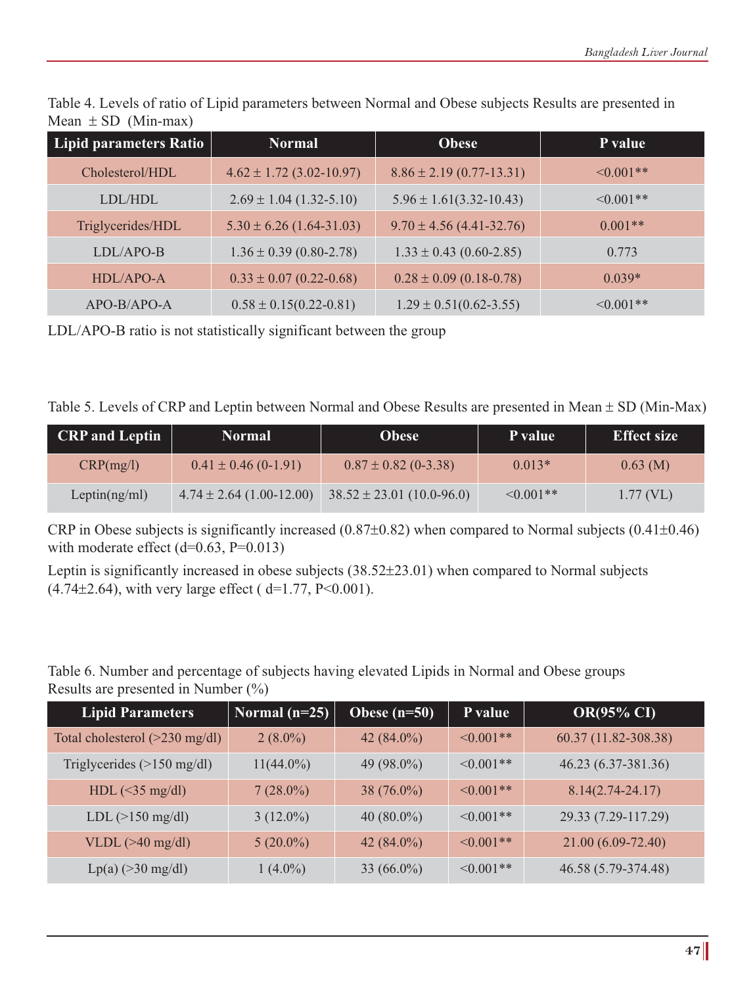| <b>Lipid parameters Ratio</b> | <b>Normal</b>                | <b>Obese</b>                   | P value         |
|-------------------------------|------------------------------|--------------------------------|-----------------|
| Cholesterol/HDL               | $4.62 \pm 1.72$ (3.02-10.97) | $8.86 \pm 2.19 (0.77 - 13.31)$ | $\leq 0.001$ ** |
| LDL/HDL                       | $2.69 \pm 1.04$ (1.32-5.10)  | $5.96 \pm 1.61(3.32 - 10.43)$  | $\leq 0.001$ ** |
| Triglycerides/HDL             | $5.30 \pm 6.26$ (1.64-31.03) | $9.70 \pm 4.56$ (4.41-32.76)   | $0.001**$       |
| LDL/APO-B                     | $1.36 \pm 0.39$ (0.80-2.78)  | $1.33 \pm 0.43$ (0.60-2.85)    | 0.773           |
| HDL/APO-A                     | $0.33 \pm 0.07$ (0.22-0.68)  | $0.28 \pm 0.09$ (0.18-0.78)    | $0.039*$        |
| $APO-B/APO-A$                 | $0.58 \pm 0.15(0.22 - 0.81)$ | $1.29 \pm 0.51(0.62 - 3.55)$   | $\leq 0.001$ ** |

Table 4. Levels of ratio of Lipid parameters between Normal and Obese subjects Results are presented in Mean  $\pm$  SD (Min-max)

LDL/APO-B ratio is not statistically significant between the group

| Table 5. Levels of CRP and Leptin between Normal and Obese Results are presented in Mean $\pm$ SD (Min-Max) |  |  |
|-------------------------------------------------------------------------------------------------------------|--|--|
|                                                                                                             |  |  |

| <b>CRP</b> and Leptin | <b>Normal</b>                | <b>Obese</b>                  | P value         | <b>Effect size</b> |
|-----------------------|------------------------------|-------------------------------|-----------------|--------------------|
| CRP(mg/l)             | $0.41 \pm 0.46$ (0-1.91)     | $0.87 \pm 0.82$ (0-3.38)      | $0.013*$        | $0.63$ (M)         |
| Leptin(ng/ml)         | $4.74 \pm 2.64$ (1.00-12.00) | $38.52 \pm 23.01$ (10.0-96.0) | $\leq 0.001$ ** | $1.77$ (VL)        |

CRP in Obese subjects is significantly increased (0.87±0.82) when compared to Normal subjects (0.41±0.46) with moderate effect  $(d=0.63, P=0.013)$ 

Leptin is significantly increased in obese subjects (38.52±23.01) when compared to Normal subjects  $(4.74\pm2.64)$ , with very large effect ( d=1.77, P<0.001).

Table 6. Number and percentage of subjects having elevated Lipids in Normal and Obese groups Results are presented in Number (%)

| <b>Lipid Parameters</b>                  | Normal $(n=25)$ | Obese $(n=50)$ | P value        | <b>OR(95% CI)</b>    |
|------------------------------------------|-----------------|----------------|----------------|----------------------|
| Total cholesterol $(>230 \text{ mg/dl})$ | $2(8.0\%)$      | 42 $(84.0\%)$  | $\leq 0.001**$ | 60.37 (11.82-308.38) |
| Triglycerides $(>150 \text{ mg/dl})$     | $11(44.0\%)$    | 49 (98.0%)     | $\leq 0.001**$ | 46.23 (6.37-381.36)  |
| $HDL$ (<35 mg/dl)                        | $7(28.0\%)$     | $38(76.0\%)$   | $\leq 0.001**$ | $8.14(2.74 - 24.17)$ |
| $LDL (>150$ mg/dl)                       | $3(12.0\%)$     | $40(80.0\%)$   | $\leq 0.001**$ | 29.33 (7.29-117.29)  |
| VLDL $(>40 \text{ mg/dl})$               | $5(20.0\%)$     | 42 $(84.0\%)$  | $\leq 0.001**$ | 21.00 (6.09-72.40)   |
| $Lp(a)$ (>30 mg/dl)                      | $1(4.0\%)$      | 33 $(66.0\%)$  | $\leq 0.001**$ | 46.58 (5.79-374.48)  |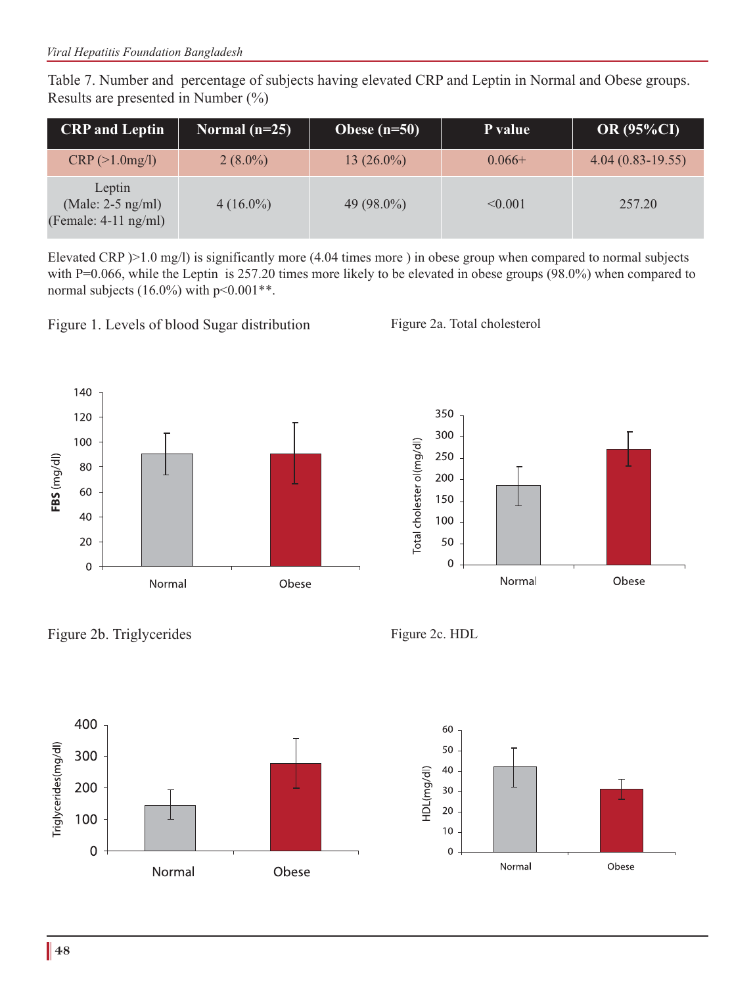Table 7. Number and percentage of subjects having elevated CRP and Leptin in Normal and Obese groups. Results are presented in Number (%)

| <b>CRP</b> and Leptin                                   | Normal $(n=25)$ | Obese $(n=50)$ | P value  | <b>OR (95%CI)</b>  |
|---------------------------------------------------------|-----------------|----------------|----------|--------------------|
| CRP (>1.0mg/l)                                          | $2(8.0\%)$      | 13 $(26.0\%)$  | $0.066+$ | $4.04(0.83-19.55)$ |
| Leptin<br>(Male: $2-5$ ng/ml)<br>(Female: $4-11$ ng/ml) | $4(16.0\%)$     | 49 $(98.0\%)$  | < 0.001  | 257.20             |

Elevated CRP  $\geq$  1.0 mg/l) is significantly more (4.04 times more ) in obese group when compared to normal subjects with P=0.066, while the Leptin is 257.20 times more likely to be elevated in obese groups (98.0%) when compared to normal subjects  $(16.0\%)$  with  $p < 0.001**$ .

Figure 1. Levels of blood Sugar distribution Figure 2a. Total cholesterol





Figure 2b. Triglycerides Figure 2c. HDL





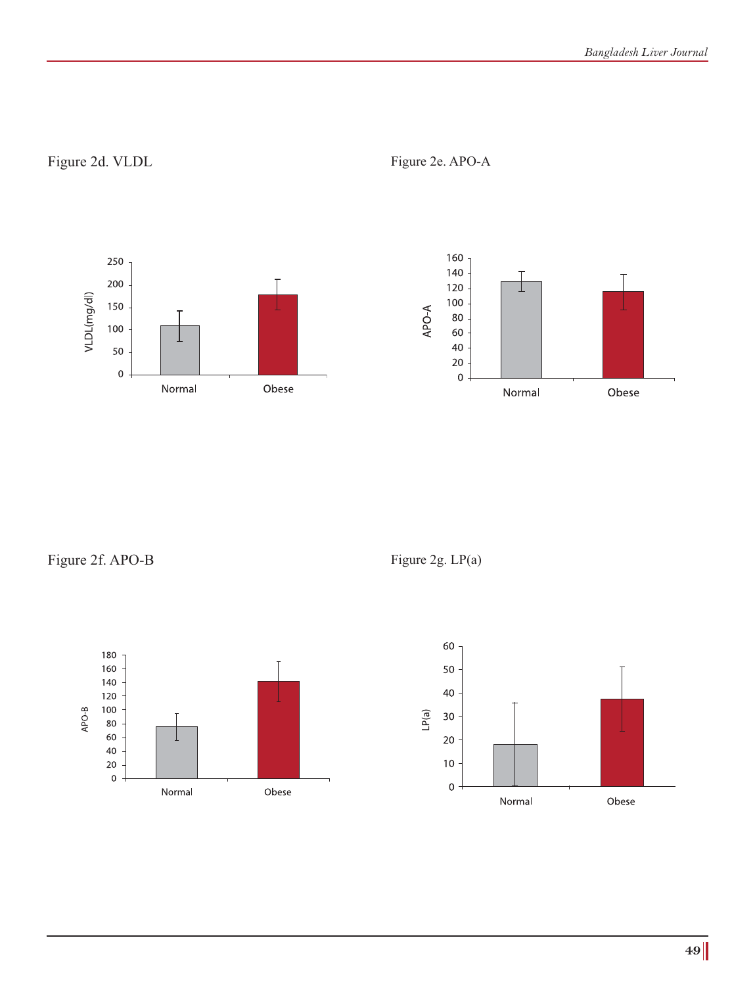## Figure 2d. VLDL Figure 2e. APO-A





Figure 2f. APO-B Figure 2g. LP(a)